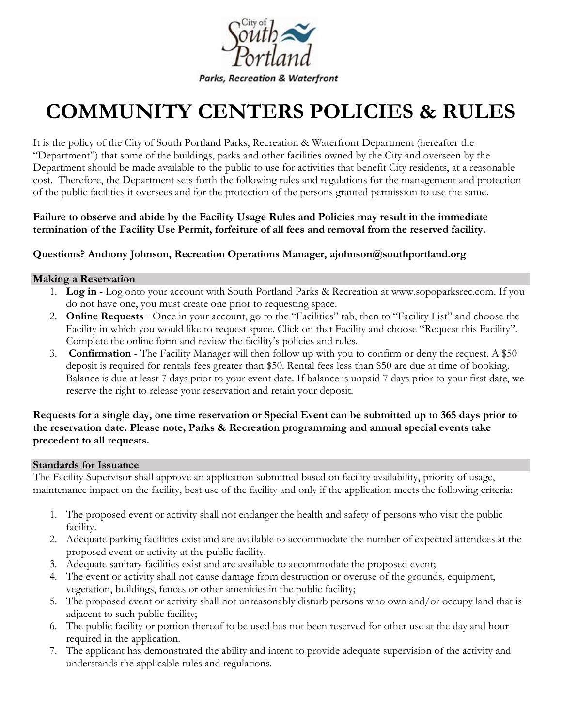

# **COMMUNITY CENTERS POLICIES & RULES**

It is the policy of the City of South Portland Parks, Recreation & Waterfront Department (hereafter the "Department") that some of the buildings, parks and other facilities owned by the City and overseen by the Department should be made available to the public to use for activities that benefit City residents, at a reasonable cost. Therefore, the Department sets forth the following rules and regulations for the management and protection of the public facilities it oversees and for the protection of the persons granted permission to use the same.

**Failure to observe and abide by the Facility Usage Rules and Policies may result in the immediate termination of the Facility Use Permit, forfeiture of all fees and removal from the reserved facility.** 

#### **Questions? Anthony Johnson, Recreation Operations Manager, ajohnson@southportland.org**

#### **Making a Reservation**

- 1. **Log in** Log onto your account with South Portland Parks & Recreation at www.sopoparksrec.com. If you do not have one, you must create one prior to requesting space.
- 2. **Online Requests** Once in your account, go to the "Facilities" tab, then to "Facility List" and choose the Facility in which you would like to request space. Click on that Facility and choose "Request this Facility". Complete the online form and review the facility's policies and rules.
- 3. **Confirmation** The Facility Manager will then follow up with you to confirm or deny the request. A \$50 deposit is required for rentals fees greater than \$50. Rental fees less than \$50 are due at time of booking. Balance is due at least 7 days prior to your event date. If balance is unpaid 7 days prior to your first date, we reserve the right to release your reservation and retain your deposit.

#### **Requests for a single day, one time reservation or Special Event can be submitted up to 365 days prior to the reservation date. Please note, Parks & Recreation programming and annual special events take precedent to all requests.**

#### **Standards for Issuance**

The Facility Supervisor shall approve an application submitted based on facility availability, priority of usage, maintenance impact on the facility, best use of the facility and only if the application meets the following criteria:

- 1. The proposed event or activity shall not endanger the health and safety of persons who visit the public facility.
- 2. Adequate parking facilities exist and are available to accommodate the number of expected attendees at the proposed event or activity at the public facility.
- 3. Adequate sanitary facilities exist and are available to accommodate the proposed event;
- 4. The event or activity shall not cause damage from destruction or overuse of the grounds, equipment, vegetation, buildings, fences or other amenities in the public facility;
- 5. The proposed event or activity shall not unreasonably disturb persons who own and/or occupy land that is adjacent to such public facility;
- 6. The public facility or portion thereof to be used has not been reserved for other use at the day and hour required in the application.
- 7. The applicant has demonstrated the ability and intent to provide adequate supervision of the activity and understands the applicable rules and regulations.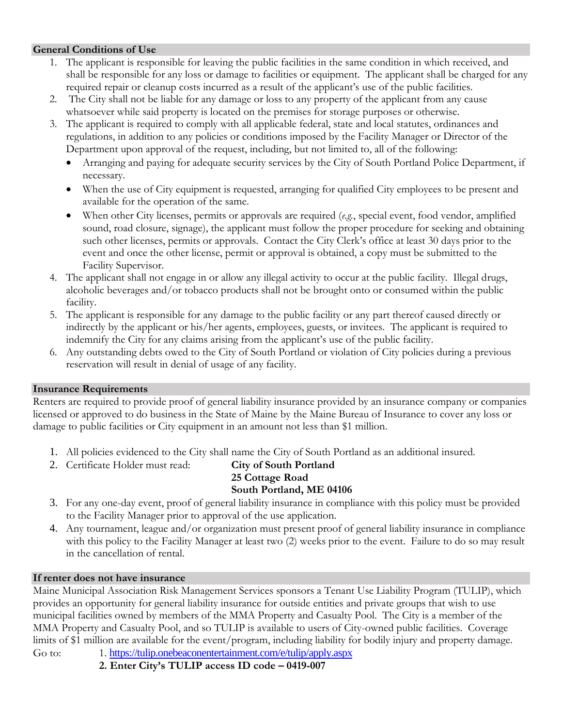#### **General Conditions of Use**

- 1. The applicant is responsible for leaving the public facilities in the same condition in which received, and shall be responsible for any loss or damage to facilities or equipment. The applicant shall be charged for any required repair or cleanup costs incurred as a result of the applicant's use of the public facilities.
- 2. The City shall not be liable for any damage or loss to any property of the applicant from any cause whatsoever while said property is located on the premises for storage purposes or otherwise.
- 3. The applicant is required to comply with all applicable federal, state and local statutes, ordinances and regulations, in addition to any policies or conditions imposed by the Facility Manager or Director of the Department upon approval of the request, including, but not limited to, all of the following:
	- Arranging and paying for adequate security services by the City of South Portland Police Department, if necessary.
	- When the use of City equipment is requested, arranging for qualified City employees to be present and available for the operation of the same.
	- When other City licenses, permits or approvals are required (*e.g.*, special event, food vendor, amplified sound, road closure, signage), the applicant must follow the proper procedure for seeking and obtaining such other licenses, permits or approvals. Contact the City Clerk's office at least 30 days prior to the event and once the other license, permit or approval is obtained, a copy must be submitted to the Facility Supervisor.
- 4. The applicant shall not engage in or allow any illegal activity to occur at the public facility. Illegal drugs, alcoholic beverages and/or tobacco products shall not be brought onto or consumed within the public facility.
- 5. The applicant is responsible for any damage to the public facility or any part thereof caused directly or indirectly by the applicant or his/her agents, employees, guests, or invitees. The applicant is required to indemnify the City for any claims arising from the applicant's use of the public facility.
- 6. Any outstanding debts owed to the City of South Portland or violation of City policies during a previous reservation will result in denial of usage of any facility.

#### **Insurance Requirements**

Renters are required to provide proof of general liability insurance provided by an insurance company or companies licensed or approved to do business in the State of Maine by the Maine Bureau of Insurance to cover any loss or damage to public facilities or City equipment in an amount not less than \$1 million.

- 1. All policies evidenced to the City shall name the City of South Portland as an additional insured.
- 2. Certificate Holder must read: **City of South Portland**

### **25 Cottage Road South Portland, ME 04106**

- 3. For any one-day event, proof of general liability insurance in compliance with this policy must be provided to the Facility Manager prior to approval of the use application.
- 4. Any tournament, league and/or organization must present proof of general liability insurance in compliance with this policy to the Facility Manager at least two (2) weeks prior to the event. Failure to do so may result in the cancellation of rental.

#### **If renter does not have insurance**

Maine Municipal Association Risk Management Services sponsors a Tenant Use Liability Program (TULIP), which provides an opportunity for general liability insurance for outside entities and private groups that wish to use municipal facilities owned by members of the MMA Property and Casualty Pool. The City is a member of the MMA Property and Casualty Pool, and so TULIP is available to users of City-owned public facilities. Coverage limits of \$1 million are available for the event/program, including liability for bodily injury and property damage. Go to: 1. <https://tulip.onebeaconentertainment.com/e/tulip/apply.aspx>

**2. Enter City's TULIP access ID code – 0419-007**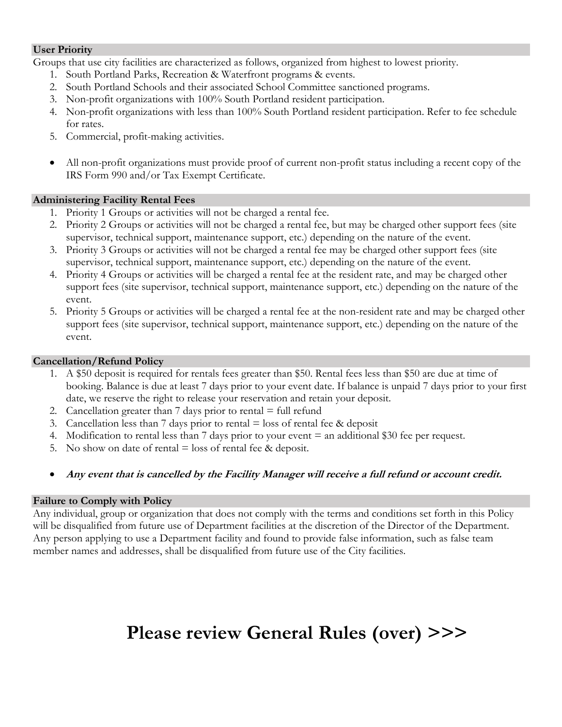#### **User Priority**

Groups that use city facilities are characterized as follows, organized from highest to lowest priority.

- 1. South Portland Parks, Recreation & Waterfront programs & events.
- 2. South Portland Schools and their associated School Committee sanctioned programs.
- 3. Non-profit organizations with 100% South Portland resident participation.
- 4. Non-profit organizations with less than 100% South Portland resident participation. Refer to fee schedule for rates.
- 5. Commercial, profit-making activities.
- All non-profit organizations must provide proof of current non-profit status including a recent copy of the IRS Form 990 and/or Tax Exempt Certificate.

#### **Administering Facility Rental Fees**

- 1. Priority 1 Groups or activities will not be charged a rental fee.
- 2. Priority 2 Groups or activities will not be charged a rental fee, but may be charged other support fees (site supervisor, technical support, maintenance support, etc.) depending on the nature of the event.
- 3. Priority 3 Groups or activities will not be charged a rental fee may be charged other support fees (site supervisor, technical support, maintenance support, etc.) depending on the nature of the event.
- 4. Priority 4 Groups or activities will be charged a rental fee at the resident rate, and may be charged other support fees (site supervisor, technical support, maintenance support, etc.) depending on the nature of the event.
- 5. Priority 5 Groups or activities will be charged a rental fee at the non-resident rate and may be charged other support fees (site supervisor, technical support, maintenance support, etc.) depending on the nature of the event.

#### **Cancellation/Refund Policy**

- 1. A \$50 deposit is required for rentals fees greater than \$50. Rental fees less than \$50 are due at time of booking. Balance is due at least 7 days prior to your event date. If balance is unpaid 7 days prior to your first date, we reserve the right to release your reservation and retain your deposit.
- 2. Cancellation greater than  $7$  days prior to rental  $=$  full refund
- 3. Cancellation less than 7 days prior to rental  $=$  loss of rental fee & deposit
- 4. Modification to rental less than 7 days prior to your event = an additional \$30 fee per request.
- 5. No show on date of rental  $=$  loss of rental fee & deposit.
- **Any event that is cancelled by the Facility Manager will receive a full refund or account credit.**

#### **Failure to Comply with Policy**

Any individual, group or organization that does not comply with the terms and conditions set forth in this Policy will be disqualified from future use of Department facilities at the discretion of the Director of the Department. Any person applying to use a Department facility and found to provide false information, such as false team member names and addresses, shall be disqualified from future use of the City facilities.

### **Please review General Rules (over) >>>**